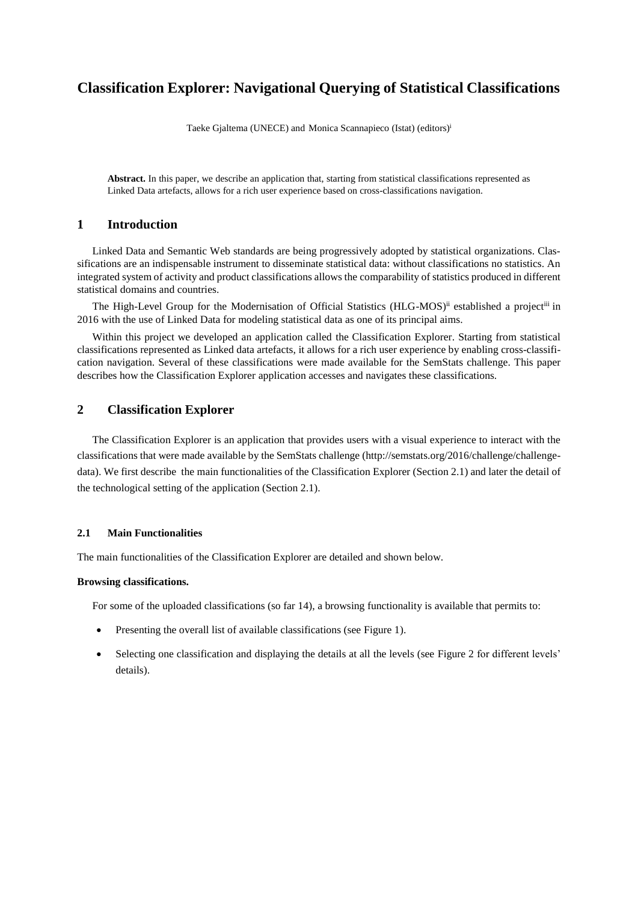# **Classification Explorer: Navigational Querying of Statistical Classifications**

Taeke Gjaltema (UNECE) and Monica Scannapieco (Istat) (editors)<sup>i</sup>

**Abstract.** In this paper, we describe an application that, starting from statistical classifications represented as Linked Data artefacts, allows for a rich user experience based on cross-classifications navigation.

# **1 Introduction**

Linked Data and Semantic Web standards are being progressively adopted by statistical organizations. Classifications are an indispensable instrument to disseminate statistical data: without classifications no statistics. An integrated system of activity and product classifications allows the comparability of statistics produced in different statistical domains and countries.

The High-Level Group for the Modernisation of Official Statistics (HLG-MOS)<sup>ii</sup> established a project<sup>iii</sup> in 2016 with the use of Linked Data for modeling statistical data as one of its principal aims.

Within this project we developed an application called the Classification Explorer. Starting from statistical classifications represented as Linked data artefacts, it allows for a rich user experience by enabling cross-classification navigation. Several of these classifications were made available for the SemStats challenge. This paper describes how the Classification Explorer application accesses and navigates these classifications.

# **2 Classification Explorer**

The Classification Explorer is an application that provides users with a visual experience to interact with the classifications that were made available by the SemStats challenge (http://semstats.org/2016/challenge/challengedata). We first describe the main functionalities of the Classification Explorer (Section 2.1) and later the detail of the technological setting of the application (Sectio[n 2.1\)](#page-0-0).

## <span id="page-0-0"></span>**2.1 Main Functionalities**

The main functionalities of the Classification Explorer are detailed and shown below.

#### **Browsing classifications.**

For some of the uploaded classifications (so far 14), a browsing functionality is available that permits to:

- Presenting the overall list of available classifications (see Figure 1).
- Selecting one classification and displaying the details at all the levels (see Figure 2 for different levels' details).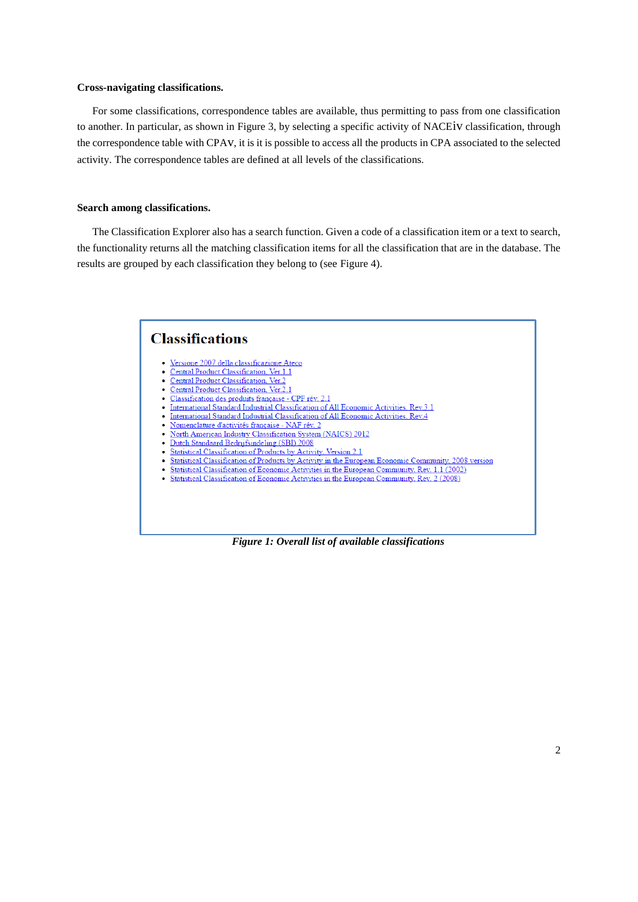### **Cross-navigating classifications.**

For some classifications, correspondence tables are available, thus permitting to pass from one classification to another. In particular, as shown in Figure 3, by selecting a specific activity of NACEiv classification, through the correspondence table with CPAv, it is it is possible to access all the products in CPA associated to the selected activity. The correspondence tables are defined at all levels of the classifications.

### **Search among classifications.**

The Classification Explorer also has a search function. Given a code of a classification item or a text to search, the functionality returns all the matching classification items for all the classification that are in the database. The results are grouped by each classification they belong to (see Figure 4).

#### **Classifications** • Versione 2007 della classificazione Ateco Central Product Classification, Ver.1.1 Central Product Classification, Ver.2 Central Product Classification, Ver.2.1 Classification des produits française - CPF rév. 2.1 International Standard Industrial Classification of All Economic Activities. Rev.3.1  $\ddot{\phantom{a}}$ International Standard Industrial Classification of All Economic Activities, Rev.4 Nomenclature d'activités française - NAF rév. 2 North American Industry Classification System (NAICS) 2012 Dutch Standaard Bedrijfsindeling (SBI) 2008  $\bullet$ Statistical Classification of Products by Activity, Version 2.1  $\bullet$ Statistical Classification of Products by Activity in the European Economic Community, 2008 version Statistical Classification of Economic Activities in the European Community, Rev. 1.1 (2002) Statistical Classification of Economic Activities in the European Community, Rev. 2 (2008)

*Figure 1: Overall list of available classifications*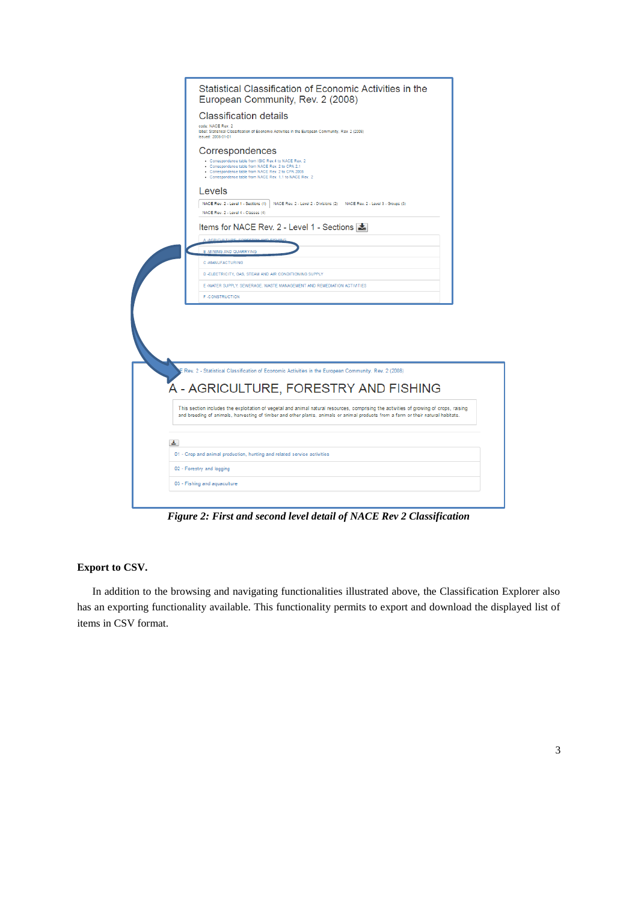

*Figure 2: First and second level detail of NACE Rev 2 Classification*

## **Export to CSV.**

In addition to the browsing and navigating functionalities illustrated above, the Classification Explorer also has an exporting functionality available. This functionality permits to export and download the displayed list of items in CSV format.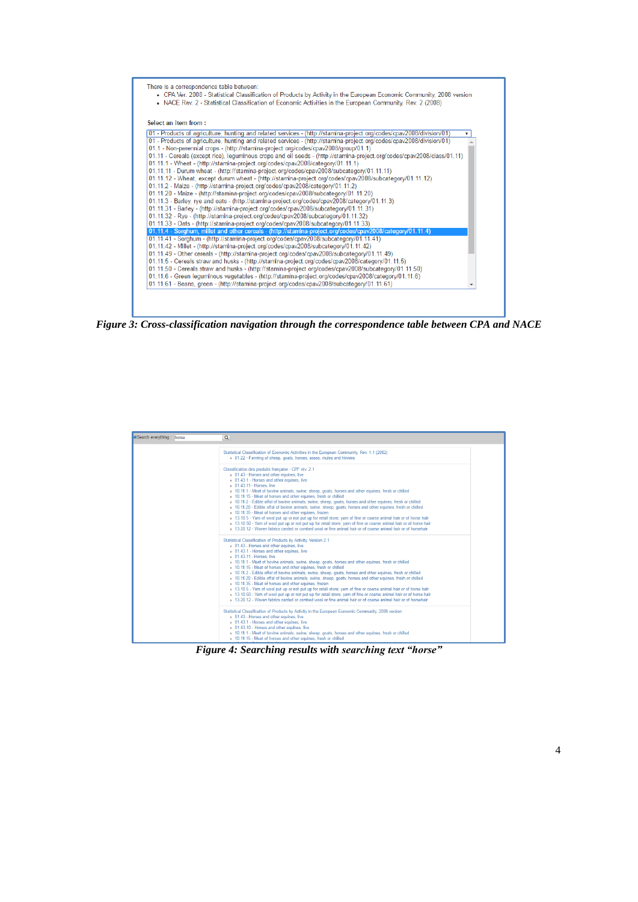

*Figure 3: Cross-classification navigation through the correspondence table between CPA and NACE*

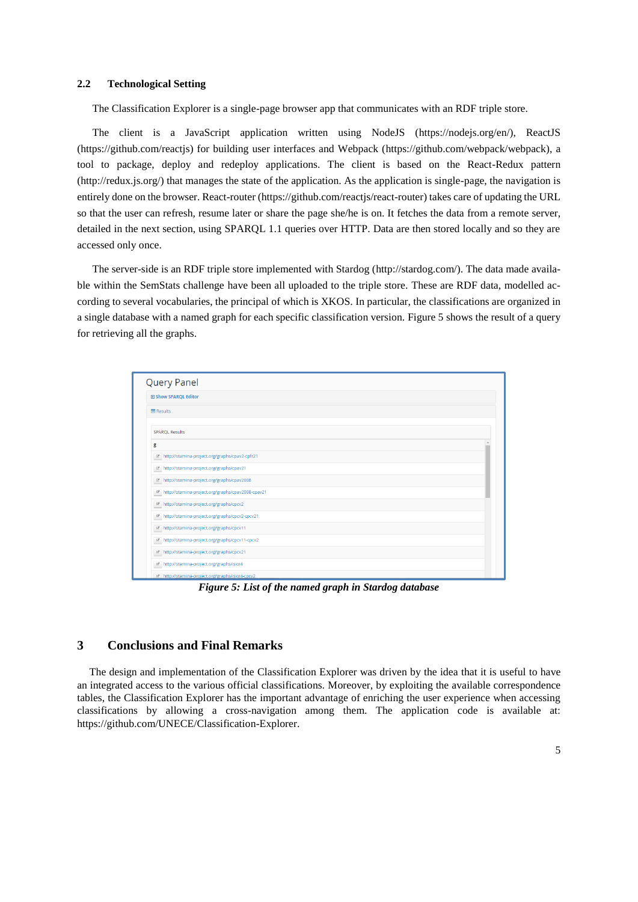#### **2.2 Technological Setting**

The Classification Explorer is a single-page browser app that communicates with an RDF triple store.

The client is a JavaScript application written using NodeJS [\(https://nodejs.org/en/](https://nodejs.org/en/)), ReactJS [\(https://github.com/reactjs\)](https://github.com/reactjs) for building user interfaces and Webpack [\(https://github.com/webpack/webpack\)](https://github.com/webpack/webpack), a tool to package, deploy and redeploy applications. The client is based on the React-Redux pattern [\(http://redux.js.org/\)](http://redux.js.org/) that manages the state of the application. As the application is single-page, the navigation is entirely done on the browser. React-router [\(https://github.com/reactjs/react-router\)](https://github.com/reactjs/react-router) takes care of updating the URL so that the user can refresh, resume later or share the page she/he is on. It fetches the data from a remote server, detailed in the next section, using SPARQL 1.1 queries over HTTP. Data are then stored locally and so they are accessed only once.

The server-side is an RDF triple store implemented with Stardog [\(http://stardog.com/\)](http://stardog.com/). The data made available within the SemStats challenge have been all uploaded to the triple store. These are RDF data, modelled according to several vocabularies, the principal of which is XKOS. In particular, the classifications are organized in a single database with a named graph for each specific classification version. Figure 5 shows the result of a query for retrieving all the graphs.

| <b>Query Panel</b>          |                                                              |
|-----------------------------|--------------------------------------------------------------|
| <b>E Show SPARQL Editor</b> |                                                              |
| 图 Results                   |                                                              |
| <b>SPAROL Results</b>       |                                                              |
| g                           |                                                              |
|                             | E http://stamina-project.org/graphs/cpav2-cpfr21             |
|                             | D http://stamina-project.org/graphs/cpav21                   |
|                             | B http://stamina-project.org/graphs/cpav2008                 |
|                             | D http://stamina-project.org/graphs/cpav2008-cpav21          |
|                             | <sup>D</sup> http://stamina-project.org/graphs/cpcv2         |
|                             | L'http://stamina-project.org/graphs/cpcv2-cpcv21             |
|                             | E http://stamina-project.org/graphs/cpcv11                   |
|                             | <sup>12</sup> http://stamina-project.org/graphs/cpcv11-cpcv2 |
|                             | <sup>12</sup> http://stamina-project.org/graphs/cpcv21       |
|                             | tz http://stamina-project.org/graphs/isicr4                  |
|                             | E http://stamina-project.org/graphs/isicr4-cpcv2             |

*Figure 5: List of the named graph in Stardog database*

# **3 Conclusions and Final Remarks**

The design and implementation of the Classification Explorer was driven by the idea that it is useful to have an integrated access to the various official classifications. Moreover, by exploiting the available correspondence tables, the Classification Explorer has the important advantage of enriching the user experience when accessing classifications by allowing a cross-navigation among them. The application code is available at: [https://github.com/UNECE/Classification-Explorer.](https://github.com/UNECE/Classification-Explorer)